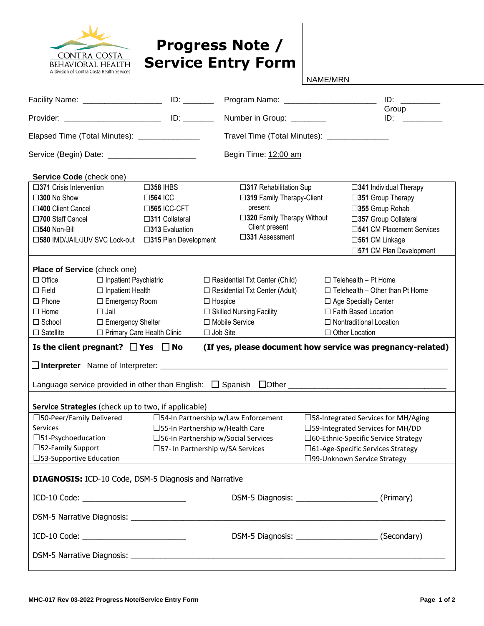

## **Progress Note / Service Entry Form**

NAME/MRN

| Facility Name: _____________________________ ID: ________                                                                                                                                                                     |                              |                                                      |                                       |                                  | Program Name: ___________________________   | ID:                                                 |  |  |
|-------------------------------------------------------------------------------------------------------------------------------------------------------------------------------------------------------------------------------|------------------------------|------------------------------------------------------|---------------------------------------|----------------------------------|---------------------------------------------|-----------------------------------------------------|--|--|
|                                                                                                                                                                                                                               |                              |                                                      | Number in Group: _______              |                                  | Group<br>$ID:$ $I = \{I, I\}$               |                                                     |  |  |
| Elapsed Time (Total Minutes): _______________                                                                                                                                                                                 |                              |                                                      |                                       |                                  | Travel Time (Total Minutes): ______________ |                                                     |  |  |
| Service (Begin) Date: _______________________                                                                                                                                                                                 |                              |                                                      |                                       | Begin Time: 12:00 am             |                                             |                                                     |  |  |
| Service Code (check one)                                                                                                                                                                                                      |                              |                                                      |                                       |                                  |                                             |                                                     |  |  |
| $\square$ 371 Crisis Intervention                                                                                                                                                                                             |                              | $\square$ 358 IHBS                                   |                                       | $\square$ 317 Rehabilitation Sup |                                             | $\square$ 341 Individual Therapy                    |  |  |
| □300 No Show                                                                                                                                                                                                                  |                              | $\square$ 564 ICC                                    |                                       | □319 Family Therapy-Client       |                                             | □351 Group Therapy                                  |  |  |
| □400 Client Cancel                                                                                                                                                                                                            |                              | $\square$ 565 ICC-CFT                                |                                       | present                          |                                             | □355 Group Rehab                                    |  |  |
| □700 Staff Cancel                                                                                                                                                                                                             |                              | $\square$ 311 Collateral                             | □320 Family Therapy Without           |                                  |                                             | □357 Group Collateral                               |  |  |
| $\square$ 540 Non-Bill                                                                                                                                                                                                        |                              | $\square$ 313 Evaluation                             | Client present                        |                                  |                                             | □541 CM Placement Services                          |  |  |
|                                                                                                                                                                                                                               |                              | □580 IMD/JAIL/JUV SVC Lock-out □315 Plan Development | □331 Assessment                       |                                  |                                             | □561 CM Linkage                                     |  |  |
|                                                                                                                                                                                                                               |                              |                                                      |                                       |                                  |                                             | □571 CM Plan Development                            |  |  |
| Place of Service (check one)                                                                                                                                                                                                  |                              |                                                      |                                       |                                  |                                             |                                                     |  |  |
| $\Box$ Office                                                                                                                                                                                                                 | $\Box$ Inpatient Psychiatric |                                                      | $\Box$ Residential Txt Center (Child) |                                  |                                             | $\Box$ Telehealth - Pt Home                         |  |  |
| $\Box$ Field                                                                                                                                                                                                                  | $\Box$ Inpatient Health      |                                                      | $\Box$ Residential Txt Center (Adult) |                                  | $\Box$ Telehealth - Other than Pt Home      |                                                     |  |  |
| $\Box$ Phone                                                                                                                                                                                                                  | $\Box$ Emergency Room        |                                                      | $\Box$ Hospice                        |                                  |                                             | □ Age Specialty Center                              |  |  |
| $\Box$ Home                                                                                                                                                                                                                   | $\square$ Jail               |                                                      | $\Box$ Skilled Nursing Facility       |                                  |                                             | □ Faith Based Location                              |  |  |
| $\Box$ School                                                                                                                                                                                                                 | □ Emergency Shelter          |                                                      | □ Mobile Service                      |                                  | $\Box$ Nontraditional Location              |                                                     |  |  |
| $\Box$ Satellite                                                                                                                                                                                                              | □ Primary Care Health Clinic |                                                      | $\Box$ Job Site                       |                                  |                                             | □ Other Location                                    |  |  |
| Is the client pregnant? $\Box$ Yes $\Box$ No<br>(If yes, please document how service was pregnancy-related)                                                                                                                   |                              |                                                      |                                       |                                  |                                             |                                                     |  |  |
| □ Interpreter Name of Interpreter: Name of Interpreter: Name of Interpreter: Name of Interpreter: Name of Interpreter: Name of Interpreter: Name of Interpreter: Name of Interpreter: Name of Interpreter: Name of Interprete |                              |                                                      |                                       |                                  |                                             |                                                     |  |  |
| Language service provided in other than English: □ Spanish □Other _________________________________                                                                                                                           |                              |                                                      |                                       |                                  |                                             |                                                     |  |  |
|                                                                                                                                                                                                                               |                              |                                                      |                                       |                                  |                                             |                                                     |  |  |
|                                                                                                                                                                                                                               |                              |                                                      |                                       |                                  |                                             |                                                     |  |  |
| Service Strategies (check up to two, if applicable)<br>□54-In Partnership w/Law Enforcement<br>□58-Integrated Services for MH/Aging<br>□50-Peer/Family Delivered                                                              |                              |                                                      |                                       |                                  |                                             |                                                     |  |  |
| Services                                                                                                                                                                                                                      |                              |                                                      | □55-In Partnership w/Health Care      |                                  |                                             | □59-Integrated Services for MH/DD                   |  |  |
| $\square$ 51-Psychoeducation                                                                                                                                                                                                  |                              |                                                      | □56-In Partnership w/Social Services  |                                  |                                             | □60-Ethnic-Specific Service Strategy                |  |  |
| $\square$ 52-Family Support                                                                                                                                                                                                   |                              |                                                      | □57- In Partnership w/SA Services     |                                  |                                             | □61-Age-Specific Services Strategy                  |  |  |
| □53-Supportive Education                                                                                                                                                                                                      |                              |                                                      |                                       |                                  |                                             | □99-Unknown Service Strategy                        |  |  |
| <b>DIAGNOSIS:</b> ICD-10 Code, DSM-5 Diagnosis and Narrative                                                                                                                                                                  |                              |                                                      |                                       |                                  |                                             |                                                     |  |  |
|                                                                                                                                                                                                                               |                              |                                                      |                                       |                                  |                                             | DSM-5 Diagnosis: _________________________(Primary) |  |  |
|                                                                                                                                                                                                                               |                              |                                                      |                                       |                                  |                                             |                                                     |  |  |
|                                                                                                                                                                                                                               |                              |                                                      |                                       |                                  |                                             |                                                     |  |  |
| DSM-5 Narrative Diagnosis: Latin March 2014   Care and Care and Care and Care and Care and Care and Care and C                                                                                                                |                              |                                                      |                                       |                                  |                                             |                                                     |  |  |
|                                                                                                                                                                                                                               |                              |                                                      |                                       |                                  |                                             |                                                     |  |  |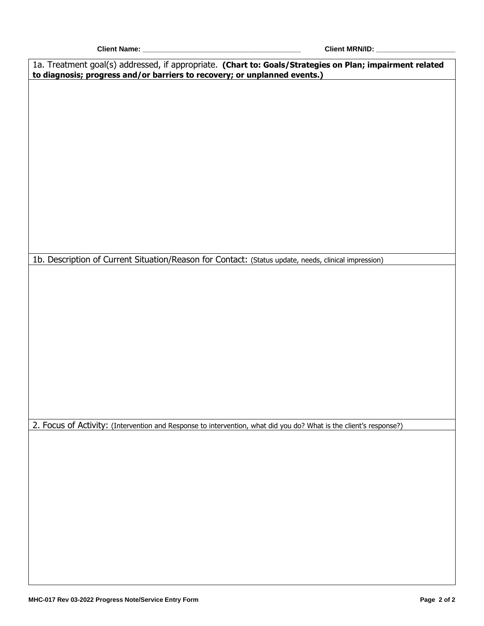**Client Name: \_\_\_\_\_\_\_\_\_\_\_\_\_\_\_\_\_\_\_\_\_\_\_\_\_\_\_\_\_\_\_\_\_\_\_\_\_\_\_\_ Client MRN/ID: \_\_\_\_\_\_\_\_\_\_\_\_\_\_\_\_\_\_\_\_**

| 1a. Treatment goal(s) addressed, if appropriate. (Chart to: Goals/Strategies on Plan; impairment related<br>to diagnosis; progress and/or barriers to recovery; or unplanned events.) |  |  |  |  |  |
|---------------------------------------------------------------------------------------------------------------------------------------------------------------------------------------|--|--|--|--|--|
|                                                                                                                                                                                       |  |  |  |  |  |
|                                                                                                                                                                                       |  |  |  |  |  |
|                                                                                                                                                                                       |  |  |  |  |  |
|                                                                                                                                                                                       |  |  |  |  |  |
|                                                                                                                                                                                       |  |  |  |  |  |
|                                                                                                                                                                                       |  |  |  |  |  |
|                                                                                                                                                                                       |  |  |  |  |  |
|                                                                                                                                                                                       |  |  |  |  |  |
|                                                                                                                                                                                       |  |  |  |  |  |
| 1b. Description of Current Situation/Reason for Contact: (Status update, needs, clinical impression)                                                                                  |  |  |  |  |  |
|                                                                                                                                                                                       |  |  |  |  |  |
|                                                                                                                                                                                       |  |  |  |  |  |
|                                                                                                                                                                                       |  |  |  |  |  |
|                                                                                                                                                                                       |  |  |  |  |  |
|                                                                                                                                                                                       |  |  |  |  |  |
|                                                                                                                                                                                       |  |  |  |  |  |
|                                                                                                                                                                                       |  |  |  |  |  |
|                                                                                                                                                                                       |  |  |  |  |  |
| 2. Focus of Activity: (Intervention and Response to intervention, what did you do? What is the client's response?)                                                                    |  |  |  |  |  |
|                                                                                                                                                                                       |  |  |  |  |  |
|                                                                                                                                                                                       |  |  |  |  |  |
|                                                                                                                                                                                       |  |  |  |  |  |
|                                                                                                                                                                                       |  |  |  |  |  |
|                                                                                                                                                                                       |  |  |  |  |  |
|                                                                                                                                                                                       |  |  |  |  |  |
|                                                                                                                                                                                       |  |  |  |  |  |
|                                                                                                                                                                                       |  |  |  |  |  |